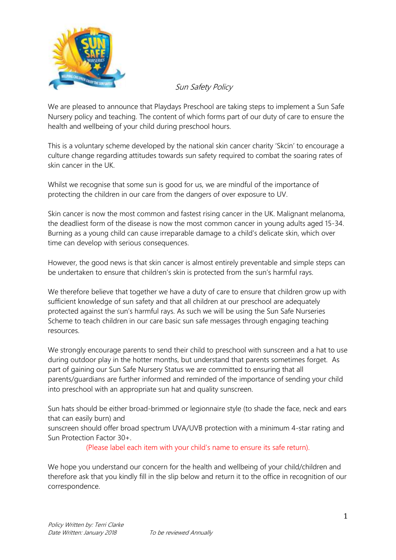

Sun Safety Policy

We are pleased to announce that Playdays Preschool are taking steps to implement a Sun Safe Nursery policy and teaching. The content of which forms part of our duty of care to ensure the health and wellbeing of your child during preschool hours.

This is a voluntary scheme developed by the national skin cancer charity 'Skcin' to encourage a culture change regarding attitudes towards sun safety required to combat the soaring rates of skin cancer in the UK.

Whilst we recognise that some sun is good for us, we are mindful of the importance of protecting the children in our care from the dangers of over exposure to UV.

Skin cancer is now the most common and fastest rising cancer in the UK. Malignant melanoma, the deadliest form of the disease is now the most common cancer in young adults aged 15-34. Burning as a young child can cause irreparable damage to a child's delicate skin, which over time can develop with serious consequences.

However, the good news is that skin cancer is almost entirely preventable and simple steps can be undertaken to ensure that children's skin is protected from the sun's harmful rays.

We therefore believe that together we have a duty of care to ensure that children grow up with sufficient knowledge of sun safety and that all children at our preschool are adequately protected against the sun's harmful rays. As such we will be using the Sun Safe Nurseries Scheme to teach children in our care basic sun safe messages through engaging teaching resources.

We strongly encourage parents to send their child to preschool with sunscreen and a hat to use during outdoor play in the hotter months, but understand that parents sometimes forget. As part of gaining our Sun Safe Nursery Status we are committed to ensuring that all parents/guardians are further informed and reminded of the importance of sending your child into preschool with an appropriate sun hat and quality sunscreen.

Sun hats should be either broad-brimmed or legionnaire style (to shade the face, neck and ears that can easily burn) and

sunscreen should offer broad spectrum UVA/UVB protection with a minimum 4-star rating and Sun Protection Factor 30+.

(Please label each item with your child's name to ensure its safe return).

We hope you understand our concern for the health and wellbeing of your child/children and therefore ask that you kindly fill in the slip below and return it to the office in recognition of our correspondence.